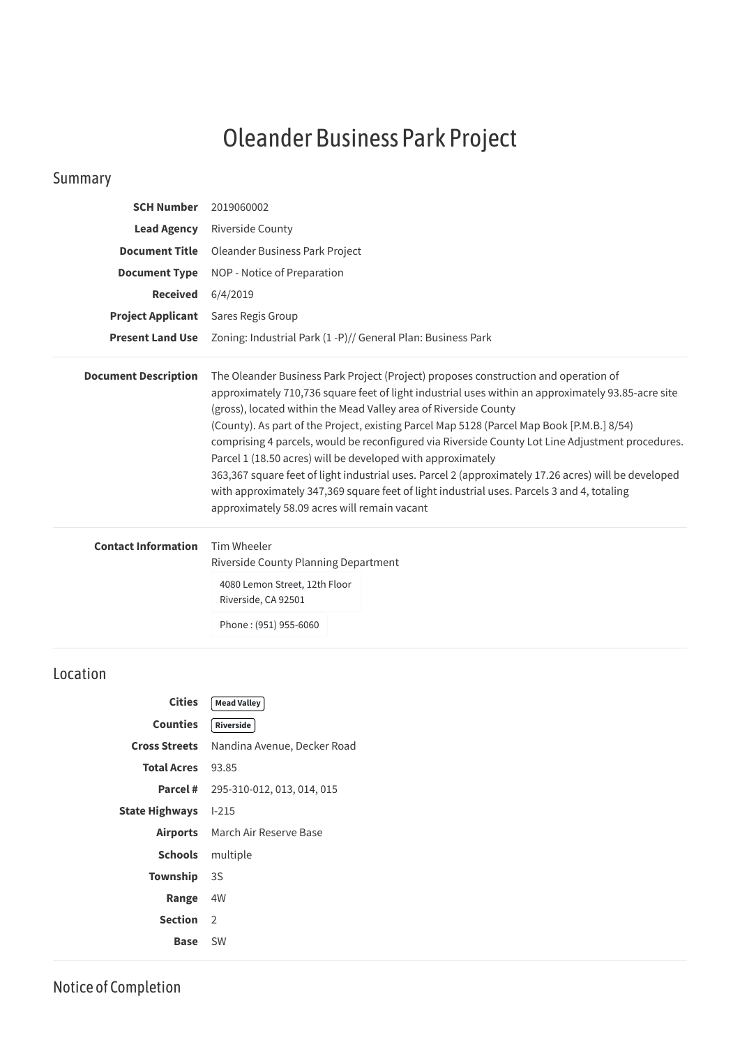## Oleander Business Park Project

## Summary

| <b>SCH Number</b>           | 2019060002                                                                                                                                                                                                                                                                                                                                                                                                                                                                                                                                                                                                                                                                                                                                                                           |  |  |
|-----------------------------|--------------------------------------------------------------------------------------------------------------------------------------------------------------------------------------------------------------------------------------------------------------------------------------------------------------------------------------------------------------------------------------------------------------------------------------------------------------------------------------------------------------------------------------------------------------------------------------------------------------------------------------------------------------------------------------------------------------------------------------------------------------------------------------|--|--|
| <b>Lead Agency</b>          | <b>Riverside County</b>                                                                                                                                                                                                                                                                                                                                                                                                                                                                                                                                                                                                                                                                                                                                                              |  |  |
| <b>Document Title</b>       | Oleander Business Park Project                                                                                                                                                                                                                                                                                                                                                                                                                                                                                                                                                                                                                                                                                                                                                       |  |  |
| <b>Document Type</b>        | NOP - Notice of Preparation                                                                                                                                                                                                                                                                                                                                                                                                                                                                                                                                                                                                                                                                                                                                                          |  |  |
| <b>Received</b>             | 6/4/2019                                                                                                                                                                                                                                                                                                                                                                                                                                                                                                                                                                                                                                                                                                                                                                             |  |  |
| <b>Project Applicant</b>    | Sares Regis Group                                                                                                                                                                                                                                                                                                                                                                                                                                                                                                                                                                                                                                                                                                                                                                    |  |  |
| <b>Present Land Use</b>     | Zoning: Industrial Park (1 - P) // General Plan: Business Park                                                                                                                                                                                                                                                                                                                                                                                                                                                                                                                                                                                                                                                                                                                       |  |  |
| <b>Document Description</b> | The Oleander Business Park Project (Project) proposes construction and operation of<br>approximately 710,736 square feet of light industrial uses within an approximately 93.85-acre site<br>(gross), located within the Mead Valley area of Riverside County<br>(County). As part of the Project, existing Parcel Map 5128 (Parcel Map Book [P.M.B.] 8/54)<br>comprising 4 parcels, would be reconfigured via Riverside County Lot Line Adjustment procedures.<br>Parcel 1 (18.50 acres) will be developed with approximately<br>363,367 square feet of light industrial uses. Parcel 2 (approximately 17.26 acres) will be developed<br>with approximately 347,369 square feet of light industrial uses. Parcels 3 and 4, totaling<br>approximately 58.09 acres will remain vacant |  |  |
| <b>Contact Information</b>  | Tim Wheeler<br>Riverside County Planning Department<br>4080 Lemon Street, 12th Floor<br>Riverside, CA 92501<br>Phone: (951) 955-6060                                                                                                                                                                                                                                                                                                                                                                                                                                                                                                                                                                                                                                                 |  |  |

|                          | Cities   Mead Valley                             |  |
|--------------------------|--------------------------------------------------|--|
| Counties [Riverside]     |                                                  |  |
|                          | <b>Cross Streets</b> Nandina Avenue, Decker Road |  |
| <b>Total Acres</b> 93.85 |                                                  |  |
|                          | 305 310 013 013 014 015                          |  |

**Parcel #** 295-310-012, 013, 014, 015 **State Highways** I-215 **Airports** March Air Reserve Base **Schools** multiple **Township** 3S **Range** 4W **Section** 2 **Base** SW

## Location

Notice of Completion